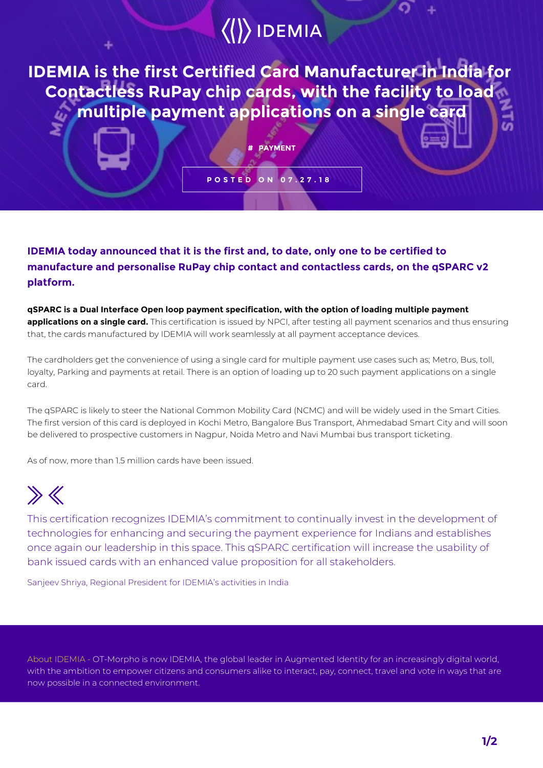## $\langle\langle\rangle\rangle$  IDEMIA

**IDEMIA is the first Certified Card Manufacturer in India for Contactless RuPay chip cards, with the facility to load multiple payment applications on a single card**

**# PAYMENT**

**POSTED ON 07.27.18**

**IDEMIA today announced that it is the first and, to date, only one to be certified to manufacture and personalise RuPay chip contact and contactless cards, on the qSPARC v2 platform.**

**qSPARC is a Dual Interface Open loop payment specification, with the option of loading multiple payment applications on a single card.** This certification is issued by NPCI, after testing all payment scenarios and thus ensuring that, the cards manufactured by IDEMIA will work seamlessly at all payment acceptance devices.

The cardholders get the convenience of using a single card for multiple payment use cases such as; Metro, Bus, toll, loyalty, Parking and payments at retail. There is an option of loading up to 20 such payment applications on a single card.

The qSPARC is likely to steer the National Common Mobility Card (NCMC) and will be widely used in the Smart Cities. The first version of this card is deployed in Kochi Metro, Bangalore Bus Transport, Ahmedabad Smart City and will soon be delivered to prospective customers in Nagpur, Noida Metro and Navi Mumbai bus transport ticketing.

As of now, more than 1.5 million cards have been issued.

## $\gg K$

This certification recognizes IDEMIA's commitment to continually invest in the development of technologies for enhancing and securing the payment experience for Indians and establishes once again our leadership in this space. This qSPARC certification will increase the usability of bank issued cards with an enhanced value proposition for all stakeholders.

Sanjeev Shriya, Regional President for IDEMIA's activities in India

About IDEMIA - OT-Morpho is now IDEMIA, the global leader in Augmented Identity for an increasingly digital world, with the ambition to empower citizens and consumers alike to interact, pay, connect, travel and vote in ways that are now possible in a connected environment.